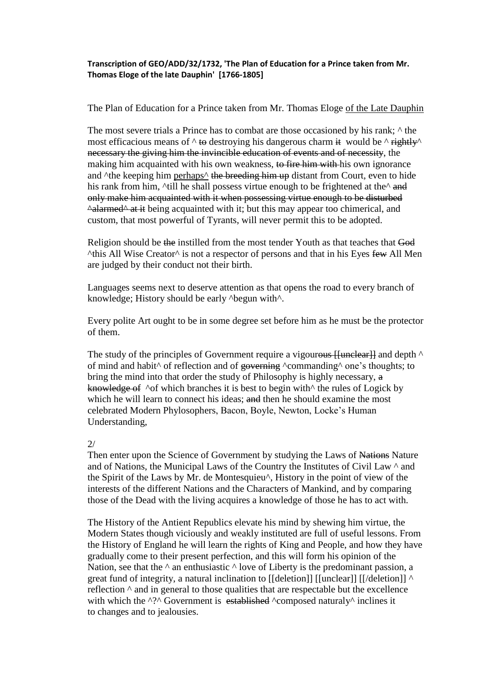## **Transcription of GEO/ADD/32/1732, 'The Plan of Education for a Prince taken from Mr. Thomas Eloge of the late Dauphin' [1766-1805]**

The Plan of Education for a Prince taken from Mr. Thomas Eloge of the Late Dauphin

The most severe trials a Prince has to combat are those occasioned by his rank;  $\wedge$  the most efficacious means of  $\wedge$  to destroying his dangerous charm it would be  $\wedge$  rightly necessary the giving him the invincible education of events and of necessity, the making him acquainted with his own weakness, to fire him with his own ignorance and <sup> $\Delta$ </sup>the keeping him perhaps<sup> $\Delta$ </sup> the breeding him up distant from Court, even to hide his rank from him,  $\text{full}$  he shall possess virtue enough to be frightened at the $\text{A}$  and only make him acquainted with it when possessing virtue enough to be disturbed  $\triangle$ alarmed $\triangle$  at it being acquainted with it; but this may appear too chimerical, and custom, that most powerful of Tyrants, will never permit this to be adopted.

Religion should be the instilled from the most tender Youth as that teaches that God  $^{\circ}$ this All Wise Creator $^{\circ}$  is not a respector of persons and that in his Eyes few All Men are judged by their conduct not their birth.

Languages seems next to deserve attention as that opens the road to every branch of knowledge; History should be early  $\Delta$ begun with $\Delta$ .

Every polite Art ought to be in some degree set before him as he must be the protector of them.

The study of the principles of Government require a vigourous [[unclear]] and depth  $\wedge$ of mind and habit<sup> $\wedge$ </sup> of reflection and of governing  $\wedge$ commanding  $\wedge$  one's thoughts; to bring the mind into that order the study of Philosophy is highly necessary, a knowledge of  $\Delta$  of which branches it is best to begin with the rules of Logick by which he will learn to connect his ideas; and then he should examine the most celebrated Modern Phylosophers, Bacon, Boyle, Newton, Locke's Human Understanding,

## $2/$

Then enter upon the Science of Government by studying the Laws of Nations Nature and of Nations, the Municipal Laws of the Country the Institutes of Civil Law ^ and the Spirit of the Laws by Mr. de Montesquieu^, History in the point of view of the interests of the different Nations and the Characters of Mankind, and by comparing those of the Dead with the living acquires a knowledge of those he has to act with.

The History of the Antient Republics elevate his mind by shewing him virtue, the Modern States though viciously and weakly instituted are full of useful lessons. From the History of England he will learn the rights of King and People, and how they have gradually come to their present perfection, and this will form his opinion of the Nation, see that the  $\land$  an enthusiastic  $\land$  love of Liberty is the predominant passion, a great fund of integrity, a natural inclination to  $\left[\frac{\text{detection}}{\text{detection}}\right]$  [ $\left[\frac{\text{detection}}{\text{detection}}\right]$  ^ reflection ^ and in general to those qualities that are respectable but the excellence with which the ^?^ Government is established ^composed naturaly^ inclines it to changes and to jealousies.